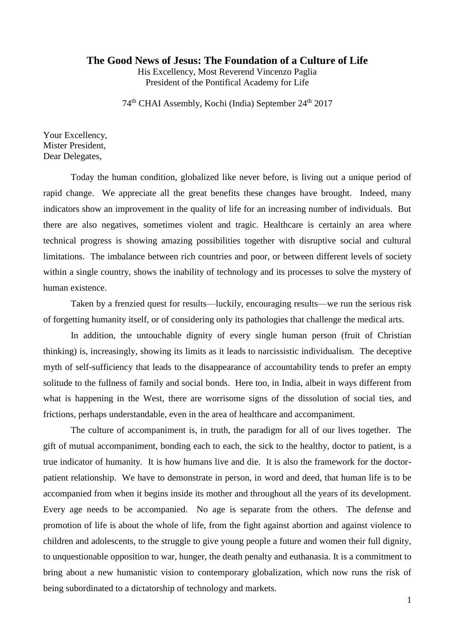## **The Good News of Jesus: The Foundation of a Culture of Life**

His Excellency, Most Reverend Vincenzo Paglia President of the Pontifical Academy for Life

74<sup>th</sup> CHAI Assembly, Kochi (India) September 24<sup>th</sup> 2017

Your Excellency, Mister President, Dear Delegates,

Today the human condition, globalized like never before, is living out a unique period of rapid change. We appreciate all the great benefits these changes have brought. Indeed, many indicators show an improvement in the quality of life for an increasing number of individuals. But there are also negatives, sometimes violent and tragic. Healthcare is certainly an area where technical progress is showing amazing possibilities together with disruptive social and cultural limitations. The imbalance between rich countries and poor, or between different levels of society within a single country, shows the inability of technology and its processes to solve the mystery of human existence.

Taken by a frenzied quest for results—luckily, encouraging results—we run the serious risk of forgetting humanity itself, or of considering only its pathologies that challenge the medical arts.

In addition, the untouchable dignity of every single human person (fruit of Christian thinking) is, increasingly, showing its limits as it leads to narcissistic individualism. The deceptive myth of self-sufficiency that leads to the disappearance of accountability tends to prefer an empty solitude to the fullness of family and social bonds. Here too, in India, albeit in ways different from what is happening in the West, there are worrisome signs of the dissolution of social ties, and frictions, perhaps understandable, even in the area of healthcare and accompaniment.

The culture of accompaniment is, in truth, the paradigm for all of our lives together. The gift of mutual accompaniment, bonding each to each, the sick to the healthy, doctor to patient, is a true indicator of humanity. It is how humans live and die. It is also the framework for the doctorpatient relationship. We have to demonstrate in person, in word and deed, that human life is to be accompanied from when it begins inside its mother and throughout all the years of its development. Every age needs to be accompanied. No age is separate from the others. The defense and promotion of life is about the whole of life, from the fight against abortion and against violence to children and adolescents, to the struggle to give young people a future and women their full dignity, to unquestionable opposition to war, hunger, the death penalty and euthanasia. It is a commitment to bring about a new humanistic vision to contemporary globalization, which now runs the risk of being subordinated to a dictatorship of technology and markets.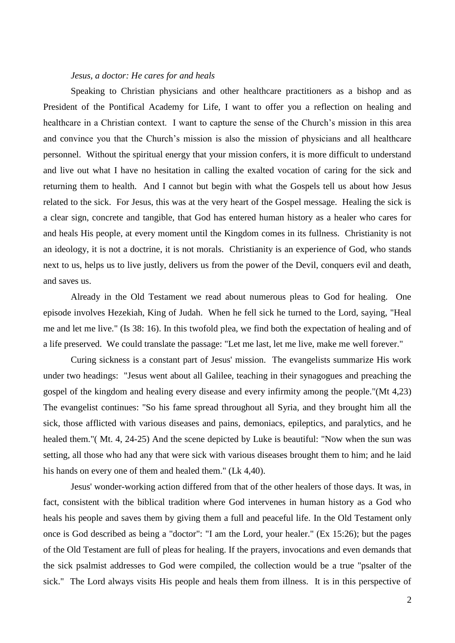## *Jesus, a doctor: He cares for and heals*

Speaking to Christian physicians and other healthcare practitioners as a bishop and as President of the Pontifical Academy for Life, I want to offer you a reflection on healing and healthcare in a Christian context. I want to capture the sense of the Church's mission in this area and convince you that the Church's mission is also the mission of physicians and all healthcare personnel. Without the spiritual energy that your mission confers, it is more difficult to understand and live out what I have no hesitation in calling the exalted vocation of caring for the sick and returning them to health. And I cannot but begin with what the Gospels tell us about how Jesus related to the sick. For Jesus, this was at the very heart of the Gospel message. Healing the sick is a clear sign, concrete and tangible, that God has entered human history as a healer who cares for and heals His people, at every moment until the Kingdom comes in its fullness. Christianity is not an ideology, it is not a doctrine, it is not morals. Christianity is an experience of God, who stands next to us, helps us to live justly, delivers us from the power of the Devil, conquers evil and death, and saves us.

Already in the Old Testament we read about numerous pleas to God for healing. One episode involves Hezekiah, King of Judah. When he fell sick he turned to the Lord, saying, "Heal me and let me live." (Is 38: 16). In this twofold plea, we find both the expectation of healing and of a life preserved. We could translate the passage: "Let me last, let me live, make me well forever."

Curing sickness is a constant part of Jesus' mission. The evangelists summarize His work under two headings: "Jesus went about all Galilee, teaching in their synagogues and preaching the gospel of the kingdom and healing every disease and every infirmity among the people."(Mt 4,23) The evangelist continues: "So his fame spread throughout all Syria, and they brought him all the sick, those afflicted with various diseases and pains, demoniacs, epileptics, and paralytics, and he healed them."( Mt. 4, 24-25) And the scene depicted by Luke is beautiful: "Now when the sun was setting, all those who had any that were sick with various diseases brought them to him; and he laid his hands on every one of them and healed them." (Lk 4,40).

Jesus' wonder-working action differed from that of the other healers of those days. It was, in fact, consistent with the biblical tradition where God intervenes in human history as a God who heals his people and saves them by giving them a full and peaceful life. In the Old Testament only once is God described as being a "doctor": "I am the Lord, your healer." (Ex 15:26); but the pages of the Old Testament are full of pleas for healing. If the prayers, invocations and even demands that the sick psalmist addresses to God were compiled, the collection would be a true "psalter of the sick." The Lord always visits His people and heals them from illness. It is in this perspective of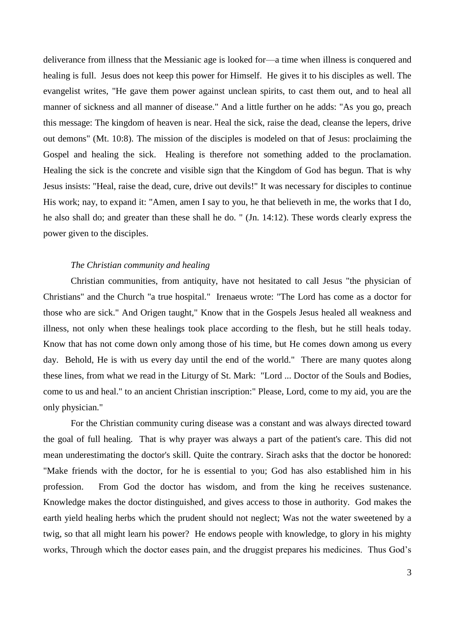deliverance from illness that the Messianic age is looked for—a time when illness is conquered and healing is full. Jesus does not keep this power for Himself. He gives it to his disciples as well. The evangelist writes, "He gave them power against unclean spirits, to cast them out, and to heal all manner of sickness and all manner of disease." And a little further on he adds: "As you go, preach this message: The kingdom of heaven is near. Heal the sick, raise the dead, cleanse the lepers, drive out demons" (Mt. 10:8). The mission of the disciples is modeled on that of Jesus: proclaiming the Gospel and healing the sick. Healing is therefore not something added to the proclamation. Healing the sick is the concrete and visible sign that the Kingdom of God has begun. That is why Jesus insists: "Heal, raise the dead, cure, drive out devils!" It was necessary for disciples to continue His work; nay, to expand it: "Amen, amen I say to you, he that believeth in me, the works that I do, he also shall do; and greater than these shall he do. " (Jn. 14:12). These words clearly express the power given to the disciples.

## *The Christian community and healing*

Christian communities, from antiquity, have not hesitated to call Jesus "the physician of Christians" and the Church "a true hospital." Irenaeus wrote: "The Lord has come as a doctor for those who are sick." And Origen taught," Know that in the Gospels Jesus healed all weakness and illness, not only when these healings took place according to the flesh, but he still heals today. Know that has not come down only among those of his time, but He comes down among us every day. Behold, He is with us every day until the end of the world." There are many quotes along these lines, from what we read in the Liturgy of St. Mark: "Lord ... Doctor of the Souls and Bodies, come to us and heal." to an ancient Christian inscription:" Please, Lord, come to my aid, you are the only physician."

For the Christian community curing disease was a constant and was always directed toward the goal of full healing. That is why prayer was always a part of the patient's care. This did not mean underestimating the doctor's skill. Quite the contrary. Sirach asks that the doctor be honored: "Make friends with the doctor, for he is essential to you; God has also established him in his profession. From God the doctor has wisdom, and from the king he receives sustenance. Knowledge makes the doctor distinguished, and gives access to those in authority. God makes the earth yield healing herbs which the prudent should not neglect; Was not the water sweetened by a twig, so that all might learn his power? He endows people with knowledge, to glory in his mighty works, Through which the doctor eases pain, and the druggist prepares his medicines. Thus God's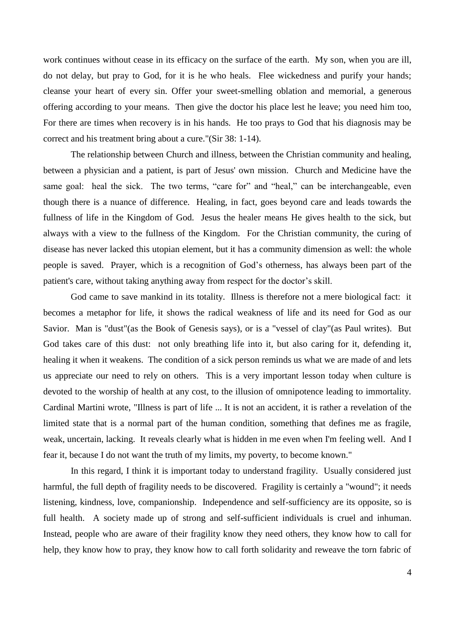work continues without cease in its efficacy on the surface of the earth. My son, when you are ill, do not delay, but pray to God, for it is he who heals. Flee wickedness and purify your hands; cleanse your heart of every sin. Offer your sweet-smelling oblation and memorial, a generous offering according to your means. Then give the doctor his place lest he leave; you need him too, For there are times when recovery is in his hands. He too prays to God that his diagnosis may be correct and his treatment bring about a cure."(Sir 38: 1-14).

The relationship between Church and illness, between the Christian community and healing, between a physician and a patient, is part of Jesus' own mission. Church and Medicine have the same goal: heal the sick. The two terms, "care for" and "heal," can be interchangeable, even though there is a nuance of difference. Healing, in fact, goes beyond care and leads towards the fullness of life in the Kingdom of God. Jesus the healer means He gives health to the sick, but always with a view to the fullness of the Kingdom. For the Christian community, the curing of disease has never lacked this utopian element, but it has a community dimension as well: the whole people is saved. Prayer, which is a recognition of God's otherness, has always been part of the patient's care, without taking anything away from respect for the doctor's skill.

God came to save mankind in its totality. Illness is therefore not a mere biological fact: it becomes a metaphor for life, it shows the radical weakness of life and its need for God as our Savior. Man is "dust"(as the Book of Genesis says), or is a "vessel of clay"(as Paul writes). But God takes care of this dust: not only breathing life into it, but also caring for it, defending it, healing it when it weakens. The condition of a sick person reminds us what we are made of and lets us appreciate our need to rely on others. This is a very important lesson today when culture is devoted to the worship of health at any cost, to the illusion of omnipotence leading to immortality. Cardinal Martini wrote, "Illness is part of life ... It is not an accident, it is rather a revelation of the limited state that is a normal part of the human condition, something that defines me as fragile, weak, uncertain, lacking. It reveals clearly what is hidden in me even when I'm feeling well. And I fear it, because I do not want the truth of my limits, my poverty, to become known."

In this regard, I think it is important today to understand fragility. Usually considered just harmful, the full depth of fragility needs to be discovered. Fragility is certainly a "wound"; it needs listening, kindness, love, companionship. Independence and self-sufficiency are its opposite, so is full health. A society made up of strong and self-sufficient individuals is cruel and inhuman. Instead, people who are aware of their fragility know they need others, they know how to call for help, they know how to pray, they know how to call forth solidarity and reweave the torn fabric of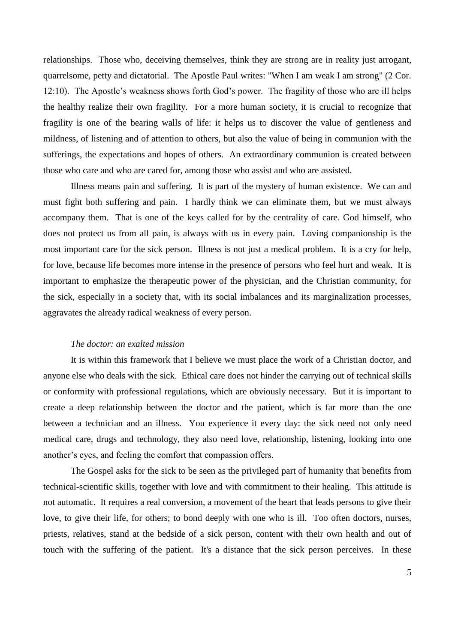relationships. Those who, deceiving themselves, think they are strong are in reality just arrogant, quarrelsome, petty and dictatorial. The Apostle Paul writes: "When I am weak I am strong" (2 Cor. 12:10). The Apostle's weakness shows forth God's power. The fragility of those who are ill helps the healthy realize their own fragility. For a more human society, it is crucial to recognize that fragility is one of the bearing walls of life: it helps us to discover the value of gentleness and mildness, of listening and of attention to others, but also the value of being in communion with the sufferings, the expectations and hopes of others. An extraordinary communion is created between those who care and who are cared for, among those who assist and who are assisted.

Illness means pain and suffering. It is part of the mystery of human existence. We can and must fight both suffering and pain. I hardly think we can eliminate them, but we must always accompany them. That is one of the keys called for by the centrality of care. God himself, who does not protect us from all pain, is always with us in every pain. Loving companionship is the most important care for the sick person. Illness is not just a medical problem. It is a cry for help, for love, because life becomes more intense in the presence of persons who feel hurt and weak. It is important to emphasize the therapeutic power of the physician, and the Christian community, for the sick, especially in a society that, with its social imbalances and its marginalization processes, aggravates the already radical weakness of every person.

## *The doctor: an exalted mission*

It is within this framework that I believe we must place the work of a Christian doctor, and anyone else who deals with the sick. Ethical care does not hinder the carrying out of technical skills or conformity with professional regulations, which are obviously necessary. But it is important to create a deep relationship between the doctor and the patient, which is far more than the one between a technician and an illness. You experience it every day: the sick need not only need medical care, drugs and technology, they also need love, relationship, listening, looking into one another's eyes, and feeling the comfort that compassion offers.

The Gospel asks for the sick to be seen as the privileged part of humanity that benefits from technical-scientific skills, together with love and with commitment to their healing. This attitude is not automatic. It requires a real conversion, a movement of the heart that leads persons to give their love, to give their life, for others; to bond deeply with one who is ill. Too often doctors, nurses, priests, relatives, stand at the bedside of a sick person, content with their own health and out of touch with the suffering of the patient. It's a distance that the sick person perceives. In these